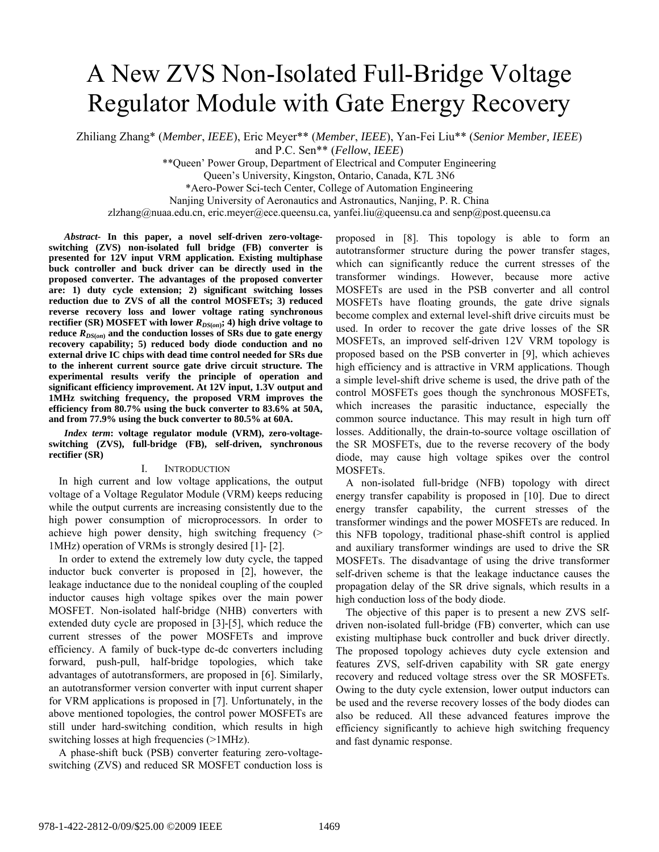# A New ZVS Non-Isolated Full-Bridge Voltage Regulator Module with Gate Energy Recovery

Zhiliang Zhang\* (*Member*, *IEEE*), Eric Meyer\*\* (*Member*, *IEEE*), Yan-Fei Liu\*\* (*Senior Member, IEEE*) and P.C. Sen\*\* (*Fellow*, *IEEE*)

\*\*Queen' Power Group, Department of Electrical and Computer Engineering

Queen's University, Kingston, Ontario, Canada, K7L 3N6

\*Aero-Power Sci-tech Center, College of Automation Engineering

Nanjing University of Aeronautics and Astronautics, Nanjing, P. R. China

zlzhang@nuaa.edu.cn, eric.meyer@ece.queensu.ca, yanfei.liu@queensu.ca and senp@post.queensu.ca

*Abstract-* **In this paper, a novel self-driven zero-voltageswitching (ZVS) non-isolated full bridge (FB) converter is presented for 12V input VRM application. Existing multiphase buck controller and buck driver can be directly used in the proposed converter. The advantages of the proposed converter are: 1) duty cycle extension; 2) significant switching losses reduction due to ZVS of all the control MOSFETs; 3) reduced reverse recovery loss and lower voltage rating synchronous**  rectifier (SR) MOSFET with lower  $R_{DS(0n)}$ ; 4) high drive voltage to reduce  $R_{DS(*on*)}$  and the conduction losses of SRs due to gate energy **recovery capability; 5) reduced body diode conduction and no external drive IC chips with dead time control needed for SRs due to the inherent current source gate drive circuit structure. The experimental results verify the principle of operation and significant efficiency improvement. At 12V input, 1.3V output and 1MHz switching frequency, the proposed VRM improves the efficiency from 80.7% using the buck converter to 83.6% at 50A, and from 77.9% using the buck converter to 80.5% at 60A.** 

*Index term***: voltage regulator module (VRM), zero-voltageswitching (ZVS), full-bridge (FB), self-driven, synchronous rectifier (SR)** 

## I. INTRODUCTION

In high current and low voltage applications, the output voltage of a Voltage Regulator Module (VRM) keeps reducing while the output currents are increasing consistently due to the high power consumption of microprocessors. In order to achieve high power density, high switching frequency (> 1MHz) operation of VRMs is strongly desired [\[1\]-](#page-6-0) [\[2\]](#page-6-1).

In order to extend the extremely low duty cycle, the tapped inductor buck converter is proposed in [\[2\],](#page-6-1) however, the leakage inductance due to the nonideal coupling of the coupled inductor causes high voltage spikes over the main power MOSFET. Non-isolated half-bridge (NHB) converters with extended duty cycle are proposed in [\[3\]](#page-6-2)[-\[5\],](#page-6-3) which reduce the current stresses of the power MOSFETs and improve efficiency. A family of buck-type dc-dc converters including forward, push-pull, half-bridge topologies, which take advantages of autotransformers, are proposed in [\[6\].](#page-6-4) Similarly, an autotransformer version converter with input current shaper for VRM applications is proposed in [\[7\].](#page-6-5) Unfortunately, in the above mentioned topologies, the control power MOSFETs are still under hard-switching condition, which results in high switching losses at high frequencies (>1MHz).

A phase-shift buck (PSB) converter featuring zero-voltageswitching (ZVS) and reduced SR MOSFET conduction loss is proposed in [\[8\].](#page-6-6) This topology is able to form an autotransformer structure during the power transfer stages, which can significantly reduce the current stresses of the transformer windings. However, because more active MOSFETs are used in the PSB converter and all control MOSFETs have floating grounds, the gate drive signals become complex and external level-shift drive circuits must be used. In order to recover the gate drive losses of the SR MOSFETs, an improved self-driven 12V VRM topology is proposed based on the PSB converter in [\[9\]](#page-6-7), which achieves high efficiency and is attractive in VRM applications. Though a simple level-shift drive scheme is used, the drive path of the control MOSFETs goes though the synchronous MOSFETs, which increases the parasitic inductance, especially the common source inductance. This may result in high turn off losses. Additionally, the drain-to-source voltage oscillation of the SR MOSFETs, due to the reverse recovery of the body diode, may cause high voltage spikes over the control MOSFETs.

A non-isolated full-bridge (NFB) topology with direct energy transfer capability is proposed in [\[10\].](#page-6-8) Due to direct energy transfer capability, the current stresses of the transformer windings and the power MOSFETs are reduced. In this NFB topology, traditional phase-shift control is applied and auxiliary transformer windings are used to drive the SR MOSFETs. The disadvantage of using the drive transformer self-driven scheme is that the leakage inductance causes the propagation delay of the SR drive signals, which results in a high conduction loss of the body diode.

The objective of this paper is to present a new ZVS selfdriven non-isolated full-bridge (FB) converter, which can use existing multiphase buck controller and buck driver directly. The proposed topology achieves duty cycle extension and features ZVS, self-driven capability with SR gate energy recovery and reduced voltage stress over the SR MOSFETs. Owing to the duty cycle extension, lower output inductors can be used and the reverse recovery losses of the body diodes can also be reduced. All these advanced features improve the efficiency significantly to achieve high switching frequency and fast dynamic response.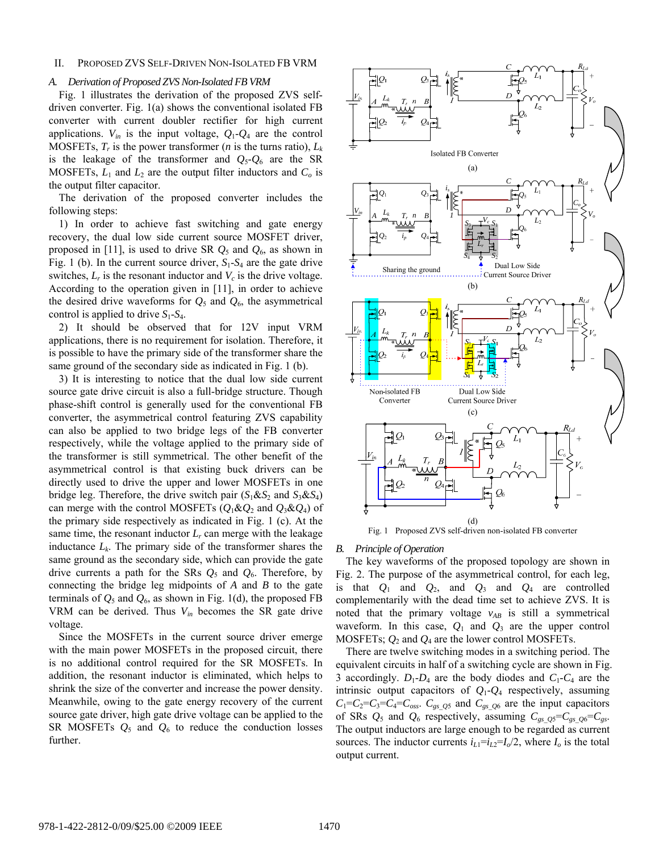### II. PROPOSED ZVS SELF-DRIVEN NON-ISOLATED FB VRM

#### *A. Derivation of Proposed ZVS Non-Isolated FB VRM*

[Fig. 1](#page-1-0) illustrates the derivation of the proposed ZVS selfdriven converter. [Fig. 1](#page-1-0)(a) shows the conventional isolated FB converter with current doubler rectifier for high current applications.  $V_{in}$  is the input voltage,  $Q_1 - Q_4$  are the control MOSFETs,  $T_r$  is the power transformer (*n* is the turns ratio),  $L_k$ is the leakage of the transformer and  $Q_5 - Q_6$  are the SR MOSFETs,  $L_1$  and  $L_2$  are the output filter inductors and  $C_0$  is the output filter capacitor.

The derivation of the proposed converter includes the following steps:

1) In order to achieve fast switching and gate energy recovery, the dual low side current source MOSFET driver, proposed in [\[11\]](#page-6-9), is used to drive SR  $Q_5$  and  $Q_6$ , as shown in [Fig. 1](#page-1-0) (b). In the current source driver,  $S_1$ - $S_4$  are the gate drive switches,  $L_r$  is the resonant inductor and  $V_c$  is the drive voltage. According to the operation given in [\[11\],](#page-6-9) in order to achieve the desired drive waveforms for  $Q_5$  and  $Q_6$ , the asymmetrical control is applied to drive  $S_1$ - $S_4$ .

2) It should be observed that for 12V input VRM applications, there is no requirement for isolation. Therefore, it is possible to have the primary side of the transformer share the same ground of the secondary side as indicated in [Fig. 1](#page-1-0) (b).

3) It is interesting to notice that the dual low side current source gate drive circuit is also a full-bridge structure. Though phase-shift control is generally used for the conventional FB converter, the asymmetrical control featuring ZVS capability can also be applied to two bridge legs of the FB converter respectively, while the voltage applied to the primary side of the transformer is still symmetrical. The other benefit of the asymmetrical control is that existing buck drivers can be directly used to drive the upper and lower MOSFETs in one bridge leg. Therefore, the drive switch pair  $(S_1 \& S_2 \text{ and } S_3 \& S_4)$ can merge with the control MOSFETs  $(O_1 \& O_2$  and  $O_3 \& O_4$ ) of the primary side respectively as indicated in [Fig. 1](#page-1-0) (c). At the same time, the resonant inductor  $L_r$  can merge with the leakage inductance  $L_k$ . The primary side of the transformer shares the same ground as the secondary side, which can provide the gate drive currents a path for the SRs  $Q_5$  and  $Q_6$ . Therefore, by connecting the bridge leg midpoints of *A* and *B* to the gate terminals of  $Q_5$  and  $Q_6$ , as shown in [Fig. 1](#page-1-0)(d), the proposed FB VRM can be derived. Thus *Vin* becomes the SR gate drive voltage.

<span id="page-1-0"></span>Since the MOSFETs in the current source driver emerge with the main power MOSFETs in the proposed circuit, there is no additional control required for the SR MOSFETs. In addition, the resonant inductor is eliminated, which helps to shrink the size of the converter and increase the power density. Meanwhile, owing to the gate energy recovery of the current source gate driver, high gate drive voltage can be applied to the SR MOSFETs  $Q_5$  and  $Q_6$  to reduce the conduction losses further.



*B. Principle of Operation* 

The key waveforms of the proposed topology are shown in [Fig. 2](#page-2-0). The purpose of the asymmetrical control, for each leg, is that  $Q_1$  and  $Q_2$ , and  $Q_3$  and  $Q_4$  are controlled complementarily with the dead time set to achieve ZVS. It is noted that the primary voltage  $v_{AB}$  is still a symmetrical waveform. In this case,  $Q_1$  and  $Q_3$  are the upper control MOSFETs;  $Q_2$  and  $Q_4$  are the lower control MOSFETs.

There are twelve switching modes in a switching period. The equivalent circuits in half of a switching cycle are shown in [Fig.](#page-2-1)  [3](#page-2-1) accordingly.  $D_1$ - $D_4$  are the body diodes and  $C_1$ - $C_4$  are the intrinsic output capacitors of *Q*1-*Q*4 respectively, assuming  $C_1 = C_2 = C_3 = C_4 = C_{oss}$ .  $C_{gs\_Q5}$  and  $\overline{C_{gs\_Q6}}$  are the input capacitors of SRs  $Q_5$  and  $Q_6$  respectively, assuming  $C_{gs}$   $_{QS} = C_{gs}$   $_{Q6} = C_{gs}$ . The output inductors are large enough to be regarded as current sources. The inductor currents  $i_{L1} = i_{L2} = I_0/2$ , where  $I_0$  is the total output current.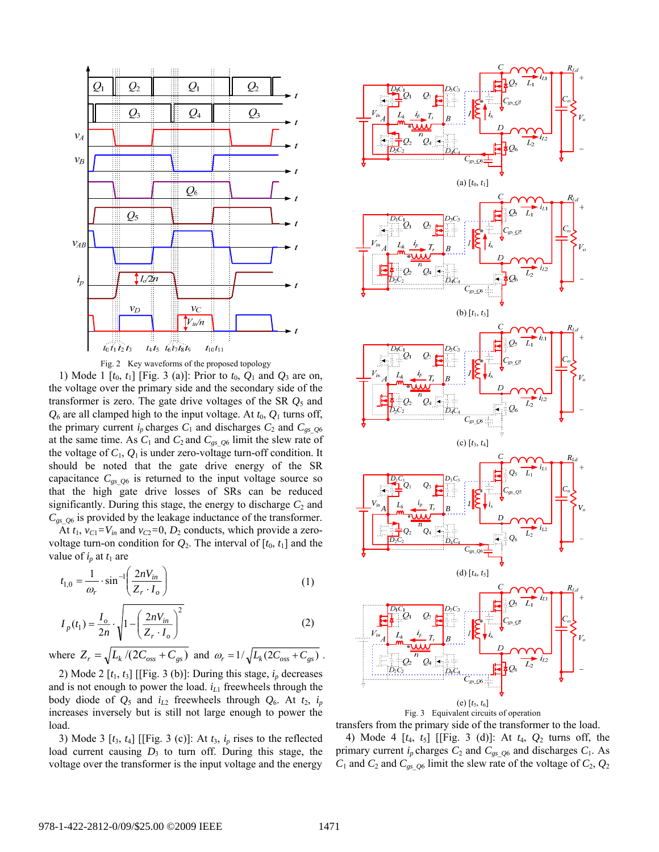

Fig. 2 Key waveforms of the proposed topology

<span id="page-2-0"></span>1) Mode 1  $[t_0, t_1]$  [\[Fig. 3](#page-2-1) (a)]: Prior to  $t_0$ ,  $Q_1$  and  $Q_3$  are on, the voltage over the primary side and the secondary side of the transformer is zero. The gate drive voltages of the SR *Q*5 and  $Q_6$  are all clamped high to the input voltage. At  $t_0$ ,  $Q_1$  turns off, the primary current  $i_p$  charges  $C_1$  and discharges  $C_2$  and  $C_{gs}$   $q_6$ at the same time. As  $C_1$  and  $C_2$  and  $C_{gs\_Q6}$  limit the slew rate of the voltage of  $C_1$ ,  $Q_1$  is under zero-voltage turn-off condition. It should be noted that the gate drive energy of the SR capacitance  $C_{gsQ6}$  is returned to the input voltage source so that the high gate drive losses of SRs can be reduced significantly. During this stage, the energy to discharge  $C_2$  and  $C_{gsQ6}$  is provided by the leakage inductance of the transformer.

At  $t_1$ ,  $v_{C1} = V_{in}$  and  $v_{C2} = 0$ ,  $D_2$  conducts, which provide a zerovoltage turn-on condition for  $Q_2$ . The interval of  $[t_0, t_1]$  and the value of  $i_p$  at  $t_1$  are

$$
t_{1,0} = \frac{1}{\omega_r} \cdot \sin^{-1} \left( \frac{2nV_{in}}{Z_r \cdot I_o} \right) \tag{1}
$$

$$
I_p(t_1) = \frac{I_o}{2n} \cdot \sqrt{1 - \left(\frac{2nV_{in}}{Z_r \cdot I_o}\right)^2}
$$
 (2)

<span id="page-2-2"></span>where  $Z_r = \sqrt{L_k/(2C_{oss} + C_{gs})}$  and  $\omega_r = 1/\sqrt{L_k(2C_{oss} + C_{gs})}$ .

2) Mode 2  $[t_1, t_3]$  [[\[Fig. 3](#page-2-1) (b)]: During this stage,  $i_p$  decreases and is not enough to power the load.  $i_{L1}$  freewheels through the body diode of  $Q_5$  and  $i_{L2}$  freewheels through  $Q_6$ . At  $t_2$ ,  $i_p$ increases inversely but is still not large enough to power the load.

<span id="page-2-1"></span>3) Mode 3  $[t_3, t_4]$  [[\[Fig. 3](#page-2-1) (c)]: At  $t_3$ ,  $i_p$  rises to the reflected load current causing  $D_3$  to turn off. During this stage, the voltage over the transformer is the input voltage and the energy



transfers from the primary side of the transformer to the load.

4) Mode 4 [*t*4, *t*5] [[[Fig. 3](#page-2-1) (d)]: At *t*4, *Q*2 turns off, the primary current  $i_p$  charges  $C_2$  and  $C_{gs}$   $_{Q6}$  and discharges  $C_1$ . As  $C_1$  and  $C_2$  and  $C_{gs}$   $\alpha$ <sub>0</sub> limit the slew rate of the voltage of  $C_2$ ,  $Q_2$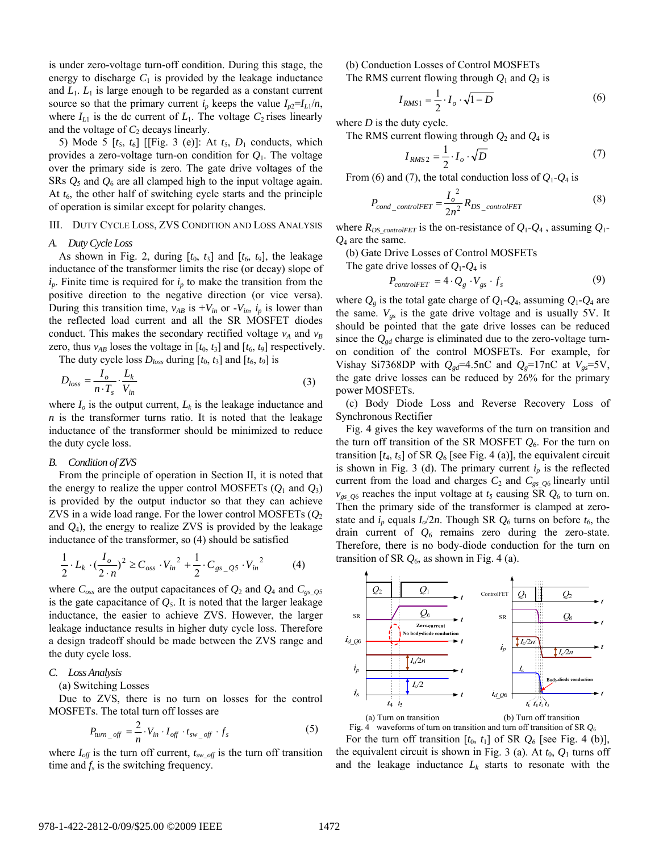<span id="page-3-1"></span>is under zero-voltage turn-off condition. During this stage, the energy to discharge  $C_1$  is provided by the leakage inductance and  $L_1$ .  $L_1$  is large enough to be regarded as a constant current source so that the primary current  $i_p$  keeps the value  $I_{p2}=I_{L1}/n$ , where  $I_{L1}$  is the dc current of  $L_1$ . The voltage  $C_2$  rises linearly and the voltage of  $C_2$  decays linearly.

<span id="page-3-2"></span>5) Mode 5  $[t_5, t_6]$  [[[Fig. 3](#page-2-1) (e)]: At  $t_5$ ,  $D_1$  conducts, which provides a zero-voltage turn-on condition for *Q*1. The voltage over the primary side is zero. The gate drive voltages of the SRs *Q*5 and *Q*6 are all clamped high to the input voltage again. At  $t_6$ , the other half of switching cycle starts and the principle of operation is similar except for polarity changes.

### III. DUTY CYCLE LOSS, ZVS CONDITION AND LOSS ANALYSIS

#### *A. Duty Cycle Loss*

As shown in [Fig. 2,](#page-2-0) during  $[t_0, t_3]$  and  $[t_6, t_9]$ , the leakage inductance of the transformer limits the rise (or decay) slope of  $i_p$ . Finite time is required for  $i_p$  to make the transition from the positive direction to the negative direction (or vice versa). During this transition time,  $v_{AB}$  is  $+V_{in}$  or  $-V_{in}$ ,  $i_p$  is lower than the reflected load current and all the SR MOSFET diodes conduct. This makes the secondary rectified voltage  $v_A$  and  $v_B$ zero, thus  $v_{AB}$  loses the voltage in  $[t_0, t_3]$  and  $[t_6, t_9]$  respectively.

The duty cycle loss  $D_{loss}$  during  $[t_0, t_3]$  and  $[t_6, t_9]$  is

$$
D_{loss} = \frac{I_o}{n \cdot T_s} \cdot \frac{L_k}{V_{in}} \tag{3}
$$

where  $I<sub>o</sub>$  is the output current,  $L<sub>k</sub>$  is the leakage inductance and *n* is the transformer turns ratio. It is noted that the leakage inductance of the transformer should be minimized to reduce the duty cycle loss.

## *B. Condition of ZVS*

From the principle of operation in Section II, it is noted that the energy to realize the upper control MOSFETs  $(O_1 \text{ and } O_3)$ is provided by the output inductor so that they can achieve ZVS in a wide load range. For the lower control MOSFETs  $(O_2)$ and  $Q_4$ ), the energy to realize ZVS is provided by the leakage inductance of the transformer, so [\(4\)](#page-3-0) should be satisfied

$$
\frac{1}{2} \cdot L_k \cdot \left(\frac{I_o}{2 \cdot n}\right)^2 \ge C_{oss} \cdot V_{in}^2 + \frac{1}{2} \cdot C_{gs\_Q5} \cdot V_{in}^2 \tag{4}
$$

<span id="page-3-0"></span>where  $C_{\text{oss}}$  are the output capacitances of  $Q_2$  and  $Q_4$  and  $C_{\text{gs}\_0}$ is the gate capacitance of  $Q_5$ . It is noted that the larger leakage inductance, the easier to achieve ZVS. However, the larger leakage inductance results in higher duty cycle loss. Therefore a design tradeoff should be made between the ZVS range and the duty cycle loss.

## *C. Loss Analysis*

(a) Switching Losses

Due to ZVS, there is no turn on losses for the control MOSFETs. The total turn off losses are

$$
P_{turn\_off} = \frac{2}{n} \cdot V_{in} \cdot I_{off} \cdot t_{sw\_off} \cdot f_s \tag{5}
$$

<span id="page-3-3"></span>where  $I_{off}$  is the turn off current,  $t_{sw-off}$  is the turn off transition time and  $f_s$  is the switching frequency.

(b) Conduction Losses of Control MOSFETs The RMS current flowing through  $Q_1$  and  $Q_3$  is

$$
I_{RMS1} = \frac{1}{2} \cdot I_o \cdot \sqrt{1 - D} \tag{6}
$$

where *D* is the duty cycle.

The RMS current flowing through *Q*2 and *Q*4 is

$$
I_{RMS2} = \frac{1}{2} \cdot I_o \cdot \sqrt{D} \tag{7}
$$

From [\(6\)](#page-3-1) and [\(7\),](#page-3-2) the total conduction loss of  $Q_1$ - $Q_4$  is

$$
P_{cond\_controlFET} = \frac{I_o^2}{2n^2} R_{DS\_controlFET}
$$
 (8)

where  $R_{DS\_controlFET}$  is the on-resistance of  $Q_1$ - $Q_4$ , assuming  $Q_1$ -*Q*4 are the same.

(b) Gate Drive Losses of Control MOSFETs

The gate drive losses of *Q*1-*Q*4 is

$$
P_{controlFET} = 4 \cdot Q_g \cdot V_{gs} \cdot f_s \tag{9}
$$

where  $Q_g$  is the total gate charge of  $Q_1$ - $Q_4$ , assuming  $Q_1$ - $Q_4$  are the same.  $V_{gs}$  is the gate drive voltage and is usually 5V. It should be pointed that the gate drive losses can be reduced since the  $Q_{\text{gd}}$  charge is eliminated due to the zero-voltage turnon condition of the control MOSFETs. For example, for Vishay Si7368DP with  $Q_{gd} = 4.5$ nC and  $Q_g = 17$ nC at  $V_{gs} = 5V$ , the gate drive losses can be reduced by 26% for the primary power MOSFETs.

(c) Body Diode Loss and Reverse Recovery Loss of Synchronous Rectifier

[Fig. 4](#page-3-3) gives the key waveforms of the turn on transition and the turn off transition of the SR MOSFET *Q*6. For the turn on transition  $[t_4, t_5]$  of SR  $Q_6$  [see [Fig. 4](#page-3-3) (a)], the equivalent circuit is shown in [Fig. 3](#page-2-1) (d). The primary current  $i<sub>p</sub>$  is the reflected current from the load and charges  $C_2$  and  $C_{gs}$   $_{06}$  linearly until  $v_{gs}$   $_{06}$  reaches the input voltage at  $t_5$  causing SR  $Q_6$  to turn on. Then the primary side of the transformer is clamped at zerostate and  $i_p$  equals  $I_o/2n$ . Though SR  $Q_6$  turns on before  $t_6$ , the drain current of *Q*6 remains zero during the zero-state. Therefore, there is no body-diode conduction for the turn on transition of SR  $Q_6$ , as shown in [Fig. 4](#page-3-3) (a).



Fig. 4 waveforms of turn on transition and turn off transition of SR *Q*<sup>6</sup>

For the turn off transition  $[t_0, t_1]$  of SR  $Q_6$  [see [Fig. 4](#page-3-3) (b)], the equivalent circuit is shown in [Fig. 3](#page-2-1) (a). At  $t_0$ ,  $Q_1$  turns off and the leakage inductance  $L_k$  starts to resonate with the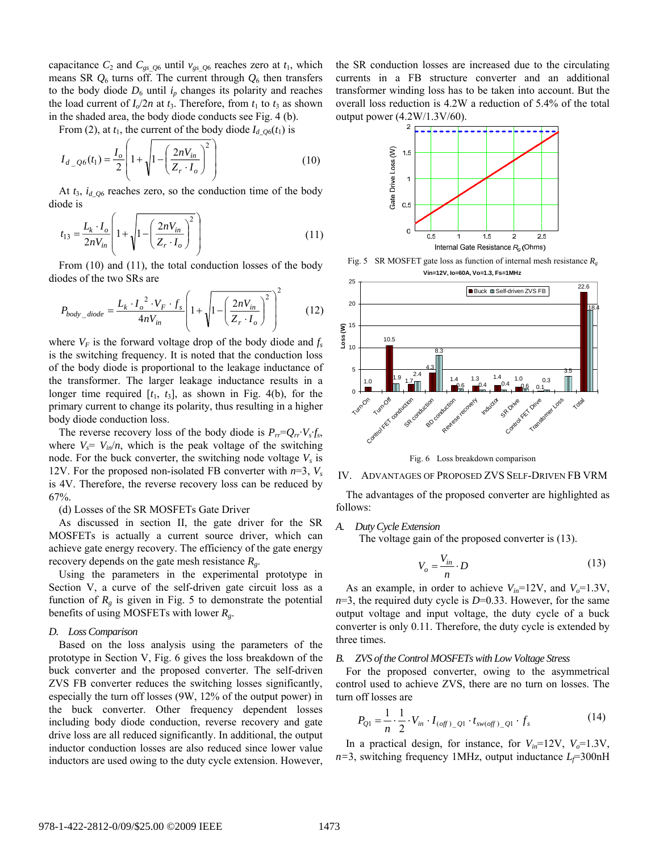capacitance  $C_2$  and  $C_{gs\_Q6}$  until  $v_{gs\_Q6}$  reaches zero at  $t_1$ , which means SR  $Q_6$  turns off. The current through  $Q_6$  then transfers to the body diode  $D_6$  until  $i_p$  changes its polarity and reaches the load current of  $I_0/2n$  at  $t_3$ . Therefore, from  $t_1$  to  $t_3$  as shown in the shaded area, the body diode conducts see [Fig. 4](#page-3-3) (b).

<span id="page-4-0"></span>From [\(2\),](#page-2-2) at  $t_1$ , the current of the body diode  $I_{d\textrm{O}_0}(t_1)$  is

$$
I_{d\_Q6}(t_1) = \frac{I_o}{2} \left( 1 + \sqrt{1 - \left( \frac{2nV_{in}}{Z_r \cdot I_o} \right)^2} \right)
$$
(10)

At  $t_3$ ,  $i_{d_2Q6}$  reaches zero, so the conduction time of the body diode is

$$
t_{13} = \frac{L_k \cdot I_o}{2nV_{in}} \left( 1 + \sqrt{1 - \left( \frac{2nV_{in}}{Z_r \cdot I_o} \right)^2} \right)
$$
 (11)

<span id="page-4-2"></span><span id="page-4-1"></span>From [\(10\)](#page-4-0) and [\(11\),](#page-4-1) the total conduction losses of the body diodes of the two SRs are

$$
P_{body\_diode} = \frac{L_k \cdot I_o^2 \cdot V_F \cdot f_s}{4nV_{in}} \left( 1 + \sqrt{1 - \left( \frac{2nV_{in}}{Z_r \cdot I_o} \right)^2} \right)^2 \tag{12}
$$

where  $V_F$  is the forward voltage drop of the body diode and  $f_s$ is the switching frequency. It is noted that the conduction loss of the body diode is proportional to the leakage inductance of the transformer. The larger leakage inductance results in a longer time required  $[t_1, t_3]$ , as shown in [Fig. 4](#page-3-3)(b), for the primary current to change its polarity, thus resulting in a higher body diode conduction loss.

<span id="page-4-3"></span>The reverse recovery loss of the body diode is  $P_{rr} = Q_{rr} \cdot V_s f_s$ , where  $V_s = V_{in}/n$ , which is the peak voltage of the switching node. For the buck converter, the switching node voltage  $V<sub>s</sub>$  is 12V. For the proposed non-isolated FB converter with  $n=3$ ,  $V_s$ is 4V. Therefore, the reverse recovery loss can be reduced by 67%.

(d) Losses of the SR MOSFETs Gate Driver

As discussed in section II, the gate driver for the SR MOSFETs is actually a current source driver, which can achieve gate energy recovery. The efficiency of the gate energy recovery depends on the gate mesh resistance *Rg*.

<span id="page-4-4"></span>Using the parameters in the experimental prototype in Section V, a curve of the self-driven gate circuit loss as a function of  $R<sub>g</sub>$  is given in [Fig. 5](#page-4-2) to demonstrate the potential benefits of using MOSFETs with lower *Rg*.

#### *D. Loss Comparison*

Based on the loss analysis using the parameters of the prototype in Section V, [Fig. 6](#page-4-3) gives the loss breakdown of the buck converter and the proposed converter. The self-driven ZVS FB converter reduces the switching losses significantly, especially the turn off losses (9W, 12% of the output power) in the buck converter. Other frequency dependent losses including body diode conduction, reverse recovery and gate drive loss are all reduced significantly. In additional, the output inductor conduction losses are also reduced since lower value inductors are used owing to the duty cycle extension. However, the SR conduction losses are increased due to the circulating currents in a FB structure converter and an additional transformer winding loss has to be taken into account. But the overall loss reduction is 4.2W a reduction of 5.4% of the total output power (4.2W/1.3V/60).



Fig. 5 SR MOSFET gate loss as function of internal mesh resistance  $R_g$ **Vin=12V, Io=60A, Vo=1.3, Fs=1MHz**



Fig. 6 Loss breakdown comparison

#### IV. ADVANTAGES OF PROPOSED ZVS SELF-DRIVEN FB VRM

The advantages of the proposed converter are highlighted as follows:

#### *A. Duty Cycle Extension*

The voltage gain of the proposed converter is [\(13\)](#page-4-4).

$$
V_o = \frac{V_{in}}{n} \cdot D \tag{13}
$$

As an example, in order to achieve  $V_{in}$ =12V, and  $V_o$ =1.3V, *n*=3, the required duty cycle is *D*=0.33. However, for the same output voltage and input voltage, the duty cycle of a buck converter is only 0.11. Therefore, the duty cycle is extended by three times.

#### *B. ZVS of the Control MOSFETs with Low Voltage Stress*

For the proposed converter, owing to the asymmetrical control used to achieve ZVS, there are no turn on losses. The turn off losses are

$$
P_{Q1} = \frac{1}{n} \cdot \frac{1}{2} \cdot V_{in} \cdot I_{(off)_{-}Q1} \cdot t_{sw(off)_{-}Q1} \cdot f_{s}
$$
 (14)

In a practical design, for instance, for  $V_{in}$ =12V,  $V_o$ =1.3V,  $n=3$ , switching frequency 1MHz, output inductance  $L_f$ =300nH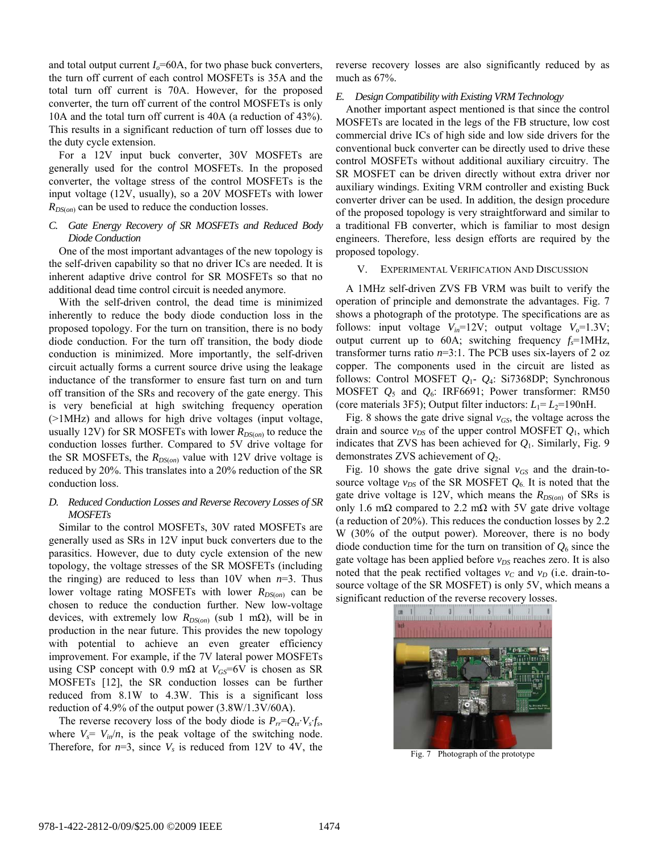and total output current  $I<sub>o</sub>=60A$ , for two phase buck converters, the turn off current of each control MOSFETs is 35A and the total turn off current is 70A. However, for the proposed converter, the turn off current of the control MOSFETs is only 10A and the total turn off current is 40A (a reduction of 43%). This results in a significant reduction of turn off losses due to the duty cycle extension.

For a 12V input buck converter, 30V MOSFETs are generally used for the control MOSFETs. In the proposed converter, the voltage stress of the control MOSFETs is the input voltage (12V, usually), so a 20V MOSFETs with lower *RDS*(*on*) can be used to reduce the conduction losses.

## *C. Gate Energy Recovery of SR MOSFETs and Reduced Body Diode Conduction*

One of the most important advantages of the new topology is the self-driven capability so that no driver ICs are needed. It is inherent adaptive drive control for SR MOSFETs so that no additional dead time control circuit is needed anymore.

With the self-driven control, the dead time is minimized inherently to reduce the body diode conduction loss in the proposed topology. For the turn on transition, there is no body diode conduction. For the turn off transition, the body diode conduction is minimized. More importantly, the self-driven circuit actually forms a current source drive using the leakage inductance of the transformer to ensure fast turn on and turn off transition of the SRs and recovery of the gate energy. This is very beneficial at high switching frequency operation (>1MHz) and allows for high drive voltages (input voltage, usually 12V) for SR MOSFETs with lower  $R_{DS(0)}$  to reduce the conduction losses further. Compared to 5V drive voltage for the SR MOSFETs, the  $R_{DS(on)}$  value with 12V drive voltage is reduced by 20%. This translates into a 20% reduction of the SR conduction loss.

## *D. Reduced Conduction Losses and Reverse Recovery Losses of SR MOSFETs*

Similar to the control MOSFETs, 30V rated MOSFETs are generally used as SRs in 12V input buck converters due to the parasitics. However, due to duty cycle extension of the new topology, the voltage stresses of the SR MOSFETs (including the ringing) are reduced to less than  $10V$  when  $n=3$ . Thus lower voltage rating MOSFETs with lower *R<sub>DS(on)</sub>* can be chosen to reduce the conduction further. New low-voltage devices, with extremely low  $R_{DS(on)}$  (sub 1 m $\Omega$ ), will be in production in the near future. This provides the new topology with potential to achieve an even greater efficiency improvement. For example, if the 7V lateral power MOSFETs using CSP concept with 0.9 mΩ at  $V_{GS}$ =6V is chosen as SR MOSFETs [\[12\],](#page-6-10) the SR conduction losses can be further reduced from 8.1W to 4.3W. This is a significant loss reduction of 4.9% of the output power (3.8W/1.3V/60A).

<span id="page-5-0"></span>The reverse recovery loss of the body diode is  $P_{rr} = Q_{rr} \cdot V_s f_s$ , where  $V_s = V_{in}/n$ , is the peak voltage of the switching node. Therefore, for  $n=3$ , since  $V_s$  is reduced from 12V to 4V, the

reverse recovery losses are also significantly reduced by as much as 67%.

## *E. Design Compatibility with Existing VRM Technology*

Another important aspect mentioned is that since the control MOSFETs are located in the legs of the FB structure, low cost commercial drive ICs of high side and low side drivers for the conventional buck converter can be directly used to drive these control MOSFETs without additional auxiliary circuitry. The SR MOSFET can be driven directly without extra driver nor auxiliary windings. Exiting VRM controller and existing Buck converter driver can be used. In addition, the design procedure of the proposed topology is very straightforward and similar to a traditional FB converter, which is familiar to most design engineers. Therefore, less design efforts are required by the proposed topology.

#### V. EXPERIMENTAL VERIFICATION AND DISCUSSION

A 1MHz self-driven ZVS FB VRM was built to verify the operation of principle and demonstrate the advantages. [Fig. 7](#page-5-0) shows a photograph of the prototype. The specifications are as follows: input voltage  $V_{in}$ =12V; output voltage  $V_o$ =1.3V; output current up to  $60A$ ; switching frequency  $f_s = 1MHz$ , transformer turns ratio *n*=3:1. The PCB uses six-layers of 2 oz copper. The components used in the circuit are listed as follows: Control MOSFET *Q*1- *Q*4: Si7368DP; Synchronous MOSFET *Q*5 and *Q*6: IRF6691; Power transformer: RM50 (core materials 3F5); Output filter inductors:  $L_1 = L_2 = 190$  nH.

[Fig. 8](#page-6-11) shows the gate drive signal  $v_{GS}$ , the voltage across the drain and source  $v_{DS}$  of the upper control MOSFET  $Q_1$ , which indicates that ZVS has been achieved for *Q*1. Similarly, [Fig. 9](#page-6-12) demonstrates ZVS achievement of *Q*2.

[Fig. 10](#page-6-13) shows the gate drive signal  $v_{GS}$  and the drain-tosource voltage  $v_{DS}$  of the SR MOSFET  $Q_6$ . It is noted that the gate drive voltage is 12V, which means the *R<sub>DS(on)</sub>* of SRs is only 1.6 m $\Omega$  compared to 2.2 m $\Omega$  with 5V gate drive voltage (a reduction of 20%). This reduces the conduction losses by 2.2 W (30% of the output power). Moreover, there is no body diode conduction time for the turn on transition of  $Q_6$  since the gate voltage has been applied before  $v_{DS}$  reaches zero. It is also noted that the peak rectified voltages  $v_c$  and  $v_p$  (i.e. drain-tosource voltage of the SR MOSFET) is only 5V, which means a significant reduction of the reverse recovery losses.



Fig. 7 Photograph of the prototype